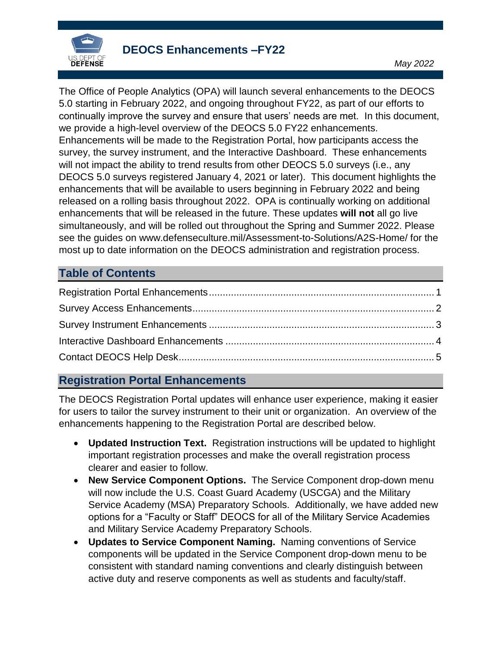

The Office of People Analytics (OPA) will launch several enhancements to the DEOCS 5.0 starting in February 2022, and ongoing throughout FY22, as part of our efforts to continually improve the survey and ensure that users' needs are met. In this document, we provide a high-level overview of the DEOCS 5.0 FY22 enhancements. Enhancements will be made to the Registration Portal, how participants access the survey, the survey instrument, and the Interactive Dashboard. These enhancements will not impact the ability to trend results from other DEOCS 5.0 surveys (i.e., any DEOCS 5.0 surveys registered January 4, 2021 or later). This document highlights the enhancements that will be available to users beginning in February 2022 and being released on a rolling basis throughout 2022. OPA is continually working on additional enhancements that will be released in the future. These updates **will not** all go live simultaneously, and will be rolled out throughout the Spring and Summer 2022. Please see the guides on www.defenseculture.mil/Assessment-to-Solutions/A2S-Home/ for the most up to date information on the DEOCS administration and registration process.

## **Table of Contents**

## <span id="page-0-0"></span>**Registration Portal Enhancements**

The DEOCS Registration Portal updates will enhance user experience, making it easier for users to tailor the survey instrument to their unit or organization. An overview of the enhancements happening to the Registration Portal are described below.

- **Updated Instruction Text.** Registration instructions will be updated to highlight important registration processes and make the overall registration process clearer and easier to follow.
- **New Service Component Options.** The Service Component drop-down menu will now include the U.S. Coast Guard Academy (USCGA) and the Military Service Academy (MSA) Preparatory Schools. Additionally, we have added new options for a "Faculty or Staff" DEOCS for all of the Military Service Academies and Military Service Academy Preparatory Schools.
- **Updates to Service Component Naming.** Naming conventions of Service components will be updated in the Service Component drop-down menu to be consistent with standard naming conventions and clearly distinguish between active duty and reserve components as well as students and faculty/staff.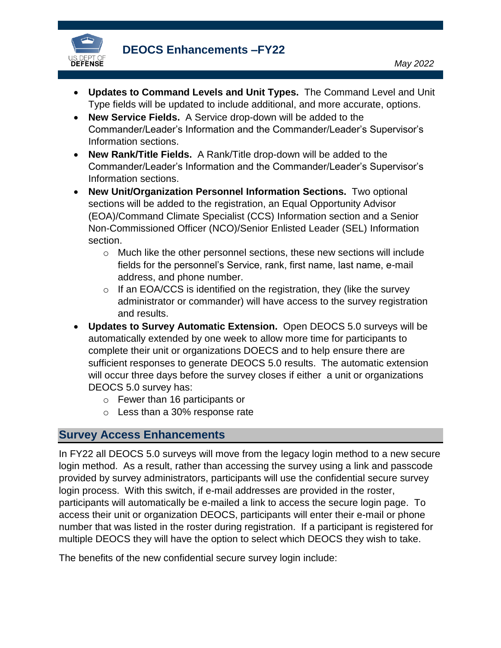

**DEOCS Enhancements –FY22** 

- **Updates to Command Levels and Unit Types.** The Command Level and Unit Type fields will be updated to include additional, and more accurate, options.
- **New Service Fields.** A Service drop-down will be added to the Commander/Leader's Information and the Commander/Leader's Supervisor's Information sections.
- **New Rank/Title Fields.** A Rank/Title drop-down will be added to the Commander/Leader's Information and the Commander/Leader's Supervisor's Information sections.
- **New Unit/Organization Personnel Information Sections.** Two optional sections will be added to the registration, an Equal Opportunity Advisor (EOA)/Command Climate Specialist (CCS) Information section and a Senior Non-Commissioned Officer (NCO)/Senior Enlisted Leader (SEL) Information section.
	- $\circ$  Much like the other personnel sections, these new sections will include fields for the personnel's Service, rank, first name, last name, e-mail address, and phone number.
	- $\circ$  If an EOA/CCS is identified on the registration, they (like the survey administrator or commander) will have access to the survey registration and results.
- **Updates to Survey Automatic Extension.** Open DEOCS 5.0 surveys will be automatically extended by one week to allow more time for participants to complete their unit or organizations DOECS and to help ensure there are sufficient responses to generate DEOCS 5.0 results. The automatic extension will occur three days before the survey closes if either a unit or organizations DEOCS 5.0 survey has:
	- o Fewer than 16 participants or
	- o Less than a 30% response rate

#### <span id="page-1-0"></span>**Survey Access Enhancements**

In FY22 all DEOCS 5.0 surveys will move from the legacy login method to a new secure login method. As a result, rather than accessing the survey using a link and passcode provided by survey administrators, participants will use the confidential secure survey login process. With this switch, if e-mail addresses are provided in the roster, participants will automatically be e-mailed a link to access the secure login page. To access their unit or organization DEOCS, participants will enter their e-mail or phone number that was listed in the roster during registration. If a participant is registered for multiple DEOCS they will have the option to select which DEOCS they wish to take.

The benefits of the new confidential secure survey login include: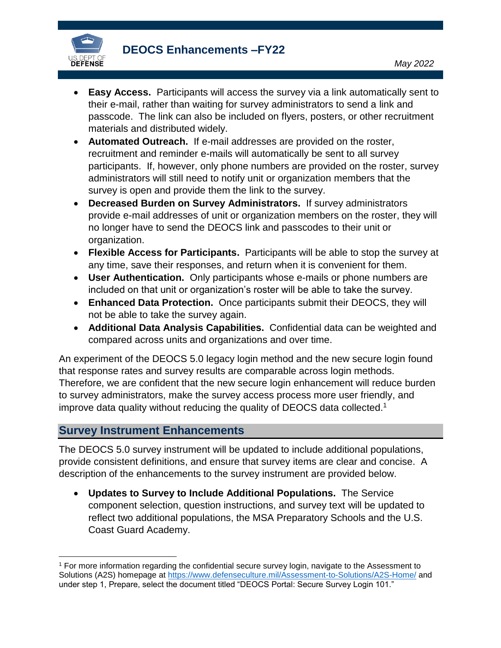

- **Easy Access.** Participants will access the survey via a link automatically sent to their e-mail, rather than waiting for survey administrators to send a link and passcode. The link can also be included on flyers, posters, or other recruitment materials and distributed widely.
- **Automated Outreach.** If e-mail addresses are provided on the roster, recruitment and reminder e-mails will automatically be sent to all survey participants. If, however, only phone numbers are provided on the roster, survey administrators will still need to notify unit or organization members that the survey is open and provide them the link to the survey.
- **Decreased Burden on Survey Administrators.** If survey administrators provide e-mail addresses of unit or organization members on the roster, they will no longer have to send the DEOCS link and passcodes to their unit or organization.
- **Flexible Access for Participants.** Participants will be able to stop the survey at any time, save their responses, and return when it is convenient for them.
- **User Authentication.** Only participants whose e-mails or phone numbers are included on that unit or organization's roster will be able to take the survey.
- **Enhanced Data Protection.** Once participants submit their DEOCS, they will not be able to take the survey again.
- **Additional Data Analysis Capabilities.** Confidential data can be weighted and compared across units and organizations and over time.

An experiment of the DEOCS 5.0 legacy login method and the new secure login found that response rates and survey results are comparable across login methods. Therefore, we are confident that the new secure login enhancement will reduce burden to survey administrators, make the survey access process more user friendly, and improve data quality without reducing the quality of DEOCS data collected. 1

#### <span id="page-2-0"></span>**Survey Instrument Enhancements**

 $\overline{\phantom{a}}$ 

The DEOCS 5.0 survey instrument will be updated to include additional populations, provide consistent definitions, and ensure that survey items are clear and concise. A description of the enhancements to the survey instrument are provided below.

 **Updates to Survey to Include Additional Populations.** The Service component selection, question instructions, and survey text will be updated to reflect two additional populations, the MSA Preparatory Schools and the U.S. Coast Guard Academy.

<sup>1</sup> For more information regarding the confidential secure survey login, navigate to the Assessment to Solutions (A2S) homepage at<https://www.defenseculture.mil/Assessment-to-Solutions/A2S-Home/> and under step 1, Prepare, select the document titled "DEOCS Portal: Secure Survey Login 101."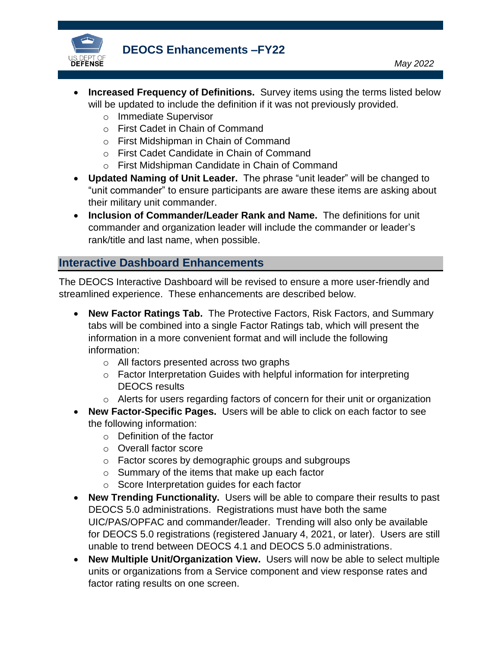

**DEOCS Enhancements –FY22** 

*May 2022*

- **Increased Frequency of Definitions.** Survey items using the terms listed below will be updated to include the definition if it was not previously provided.
	- o Immediate Supervisor
	- o First Cadet in Chain of Command
	- o First Midshipman in Chain of Command
	- o First Cadet Candidate in Chain of Command
	- o First Midshipman Candidate in Chain of Command
- **Updated Naming of Unit Leader.** The phrase "unit leader" will be changed to "unit commander" to ensure participants are aware these items are asking about their military unit commander.
- **Inclusion of Commander/Leader Rank and Name.** The definitions for unit commander and organization leader will include the commander or leader's rank/title and last name, when possible.

## <span id="page-3-0"></span>**Interactive Dashboard Enhancements**

The DEOCS Interactive Dashboard will be revised to ensure a more user-friendly and streamlined experience. These enhancements are described below.

- **New Factor Ratings Tab.** The Protective Factors, Risk Factors, and Summary tabs will be combined into a single Factor Ratings tab, which will present the information in a more convenient format and will include the following information:
	- o All factors presented across two graphs
	- o Factor Interpretation Guides with helpful information for interpreting DEOCS results
	- o Alerts for users regarding factors of concern for their unit or organization
- **New Factor-Specific Pages.** Users will be able to click on each factor to see the following information:
	- o Definition of the factor
	- o Overall factor score
	- o Factor scores by demographic groups and subgroups
	- o Summary of the items that make up each factor
	- o Score Interpretation guides for each factor
- **New Trending Functionality.** Users will be able to compare their results to past DEOCS 5.0 administrations. Registrations must have both the same UIC/PAS/OPFAC and commander/leader. Trending will also only be available for DEOCS 5.0 registrations (registered January 4, 2021, or later). Users are still unable to trend between DEOCS 4.1 and DEOCS 5.0 administrations.
- **New Multiple Unit/Organization View.** Users will now be able to select multiple units or organizations from a Service component and view response rates and factor rating results on one screen.